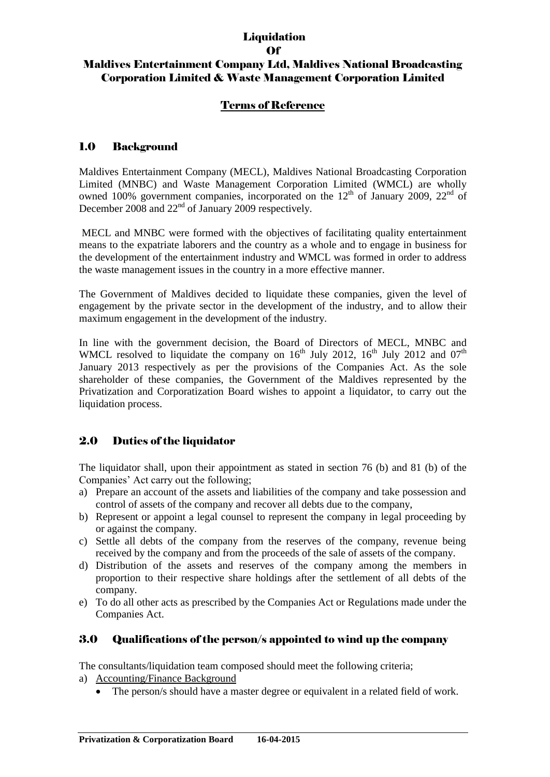#### **Liquidation** Of

# Maldives Entertainment Company Ltd, Maldives National Broadcasting Corporation Limited & Waste Management Corporation Limited

## Terms of Reference

### 1.0 Background

Maldives Entertainment Company (MECL), Maldives National Broadcasting Corporation Limited (MNBC) and Waste Management Corporation Limited (WMCL) are wholly owned 100% government companies, incorporated on the  $12<sup>th</sup>$  of January 2009,  $22<sup>nd</sup>$  of December 2008 and 22<sup>nd</sup> of January 2009 respectively.

MECL and MNBC were formed with the objectives of facilitating quality entertainment means to the expatriate laborers and the country as a whole and to engage in business for the development of the entertainment industry and WMCL was formed in order to address the waste management issues in the country in a more effective manner.

The Government of Maldives decided to liquidate these companies, given the level of engagement by the private sector in the development of the industry, and to allow their maximum engagement in the development of the industry.

In line with the government decision, the Board of Directors of MECL, MNBC and WMCL resolved to liquidate the company on  $16<sup>th</sup>$  July 2012,  $16<sup>th</sup>$  July 2012 and  $07<sup>th</sup>$ January 2013 respectively as per the provisions of the Companies Act. As the sole shareholder of these companies, the Government of the Maldives represented by the Privatization and Corporatization Board wishes to appoint a liquidator, to carry out the liquidation process.

## 2.0 Duties of the liquidator

The liquidator shall, upon their appointment as stated in section 76 (b) and 81 (b) of the Companies' Act carry out the following;

- a) Prepare an account of the assets and liabilities of the company and take possession and control of assets of the company and recover all debts due to the company,
- b) Represent or appoint a legal counsel to represent the company in legal proceeding by or against the company.
- c) Settle all debts of the company from the reserves of the company, revenue being received by the company and from the proceeds of the sale of assets of the company.
- d) Distribution of the assets and reserves of the company among the members in proportion to their respective share holdings after the settlement of all debts of the company.
- e) To do all other acts as prescribed by the Companies Act or Regulations made under the Companies Act.

### 3.0 Qualifications of the person/s appointed to wind up the company

The consultants/liquidation team composed should meet the following criteria;

- a) Accounting/Finance Background
	- The person/s should have a master degree or equivalent in a related field of work.